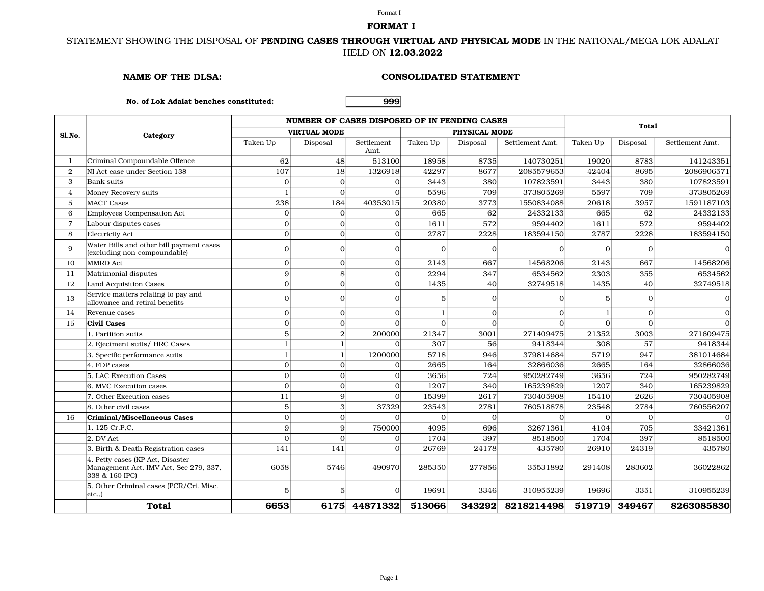#### Format I **FORMAT I**

## STATEMENT SHOWING THE DISPOSAL OF **PENDING CASES THROUGH VIRTUAL AND PHYSICAL MODE** IN THE NATIONAL/MEGA LOK ADALAT HELD ON **12.03.2022**

#### **NAME OF THE DLSA: CONSOLIDATED STATEMENT**

**No. of Lok Adalat benches constituted: 999**

|                       | Category                                                                                     |          | NUMBER OF CASES DISPOSED OF IN PENDING CASES | <b>Total</b>       |          |               |                 |          |               |                 |
|-----------------------|----------------------------------------------------------------------------------------------|----------|----------------------------------------------|--------------------|----------|---------------|-----------------|----------|---------------|-----------------|
| Sl.No.                |                                                                                              |          | <b>VIRTUAL MODE</b>                          |                    |          | PHYSICAL MODE |                 |          |               |                 |
|                       |                                                                                              | Taken Up | Disposal                                     | Settlement<br>Amt. | Taken Up | Disposal      | Settlement Amt. | Taken Up | Disposal      | Settlement Amt. |
| -1                    | Criminal Compoundable Offence                                                                | 62       | 48                                           | 513100             | 18958    | 8735          | 140730251       | 19020    | 8783          | 141243351       |
| $\mathbf{2}^{\prime}$ | NI Act case under Section 138                                                                | 107      | 18                                           | 1326918            | 42297    | 8677          | 2085579653      | 42404    | 8695          | 2086906571      |
| 3                     | <b>Bank</b> suits                                                                            | $\Omega$ | $\Omega$                                     | $\Omega$           | 3443     | 380           | 107823591       | 3443     | 380           | 107823591       |
| $\overline{4}$        | Money Recovery suits                                                                         |          | $\Omega$                                     | $\Omega$           | 5596     | 709           | 373805269       | 5597     | 709           | 373805269       |
| 5                     | <b>MACT Cases</b>                                                                            | 238      | 184                                          | 40353015           | 20380    | 3773          | 1550834088      | 20618    | 3957          | 1591187103      |
| 6                     | <b>Employees Compensation Act</b>                                                            | $\Omega$ | 0                                            | $\Omega$           | 665      | 62            | 24332133        | 665      | 62            | 24332133        |
| $\overline{7}$        | Labour disputes cases                                                                        | $\Omega$ | $\Omega$                                     | $\Omega$           | 1611     | 572           | 9594402         | 1611     | 572           | 9594402         |
| 8                     | Electricity Act                                                                              | $\Omega$ | $\Omega$                                     | $\Omega$           | 2787     | 2228          | 183594150       | 2787     | 2228          | 183594150       |
| 9                     | Water Bills and other bill payment cases<br>(excluding non-compoundable)                     | $\Omega$ | 0                                            | $\Omega$           | $\Omega$ | $\Omega$      | $\Omega$        | $\Omega$ | $\Omega$      | $\Omega$        |
| 10                    | <b>MMRD</b> Act                                                                              | $\Omega$ | $\Omega$                                     | $\Omega$           | 2143     | 667           | 14568206        | 2143     | 667           | 14568206        |
| 11                    | Matrimonial disputes                                                                         | 9        | $\lvert 8 \rvert$                            | $\Omega$           | 2294     | 347           | 6534562         | 2303     | 355           | 6534562         |
| 12                    | <b>Land Acquisition Cases</b>                                                                | $\Omega$ | $\Omega$                                     | $\Omega$           | 1435     | 40            | 32749518        | 1435     | 40            | 32749518        |
| 13                    | Service matters relating to pay and<br>allowance and retiral benefits                        | $\Omega$ | $\Omega$                                     | O                  | 5        | $\Omega$      | $\Omega$        | 5        | $\Omega$      | $\mathbf 0$     |
| 14                    | Revenue cases                                                                                | $\Omega$ | $\Omega$                                     | $\Omega$           |          | $\Omega$      | $\Omega$        |          | $\Omega$      | $\Omega$        |
| 15                    | <b>Civil Cases</b>                                                                           | $\Omega$ | $\Omega$                                     |                    | $\Omega$ | $\Omega$      | $\Omega$        | $\Omega$ | $\Omega$      | $\Omega$        |
|                       | 1. Partition suits                                                                           | 5        | $\overline{2}$                               | 200000             | 21347    | 3001          | 271409475       | 21352    | 3003          | 271609475       |
|                       | 2. Ejectment suits/ HRC Cases                                                                |          |                                              | $\Omega$           | 307      | 56            | 9418344         | 308      | 57            | 9418344         |
|                       | 3. Specific performance suits                                                                |          |                                              | 1200000            | 5718     | 946           | 379814684       | 5719     | 947           | 381014684       |
|                       | 4. FDP cases                                                                                 | $\Omega$ | $\Omega$                                     | $\Omega$           | 2665     | 164           | 32866036        | 2665     | 164           | 32866036        |
|                       | 5. LAC Execution Cases                                                                       | $\Omega$ | $\Omega$                                     | $\Omega$           | 3656     | 724           | 950282749       | 3656     | 724           | 950282749       |
|                       | 6. MVC Execution cases                                                                       | $\Omega$ | $\Omega$                                     | $\Omega$           | 1207     | 340           | 165239829       | 1207     | 340           | 165239829       |
|                       | 7. Other Execution cases                                                                     | 11       | $\vert$ 9                                    | $\Omega$           | 15399    | 2617          | 730405908       | 15410    | 2626          | 730405908       |
|                       | 8. Other civil cases                                                                         | 5        | $\frac{3}{2}$                                | 37329              | 23543    | 2781          | 760518878       | 23548    | 2784          | 760556207       |
| 16                    | Criminal/Miscellaneous Cases                                                                 | $\Omega$ | $\Omega$                                     |                    |          | $\Omega$      |                 | $\Omega$ | $\Omega$      | $\Omega$        |
|                       | 1. 125 Cr.P.C.                                                                               | Q        | $\vert$                                      | 750000             | 4095     | 696           | 32671361        | 4104     | 705           | 33421361        |
|                       | 2. DV Act                                                                                    | $\Omega$ | $\Omega$                                     | $\Omega$           | 1704     | 397           | 8518500         | 1704     | 397           | 8518500         |
|                       | 3. Birth & Death Registration cases                                                          | 141      | 141                                          | $\Omega$           | 26769    | 24178         | 435780          | 26910    | 24319         | 435780          |
|                       | 4. Petty cases (KP Act, Disaster<br>Management Act, IMV Act, Sec 279, 337,<br>338 & 160 IPC) | 6058     | 5746                                         | 490970             | 285350   | 277856        | 35531892        | 291408   | 283602        | 36022862        |
|                       | 5. Other Criminal cases (PCR/Cri. Misc.<br>etc.,)                                            | 5        | 5                                            | $\Omega$           | 19691    | 3346          | 310955239       | 19696    | 3351          | 310955239       |
|                       | <b>Total</b>                                                                                 | 6653     |                                              | 6175 44871332      | 513066   | 343292        | 8218214498      |          | 519719 349467 | 8263085830      |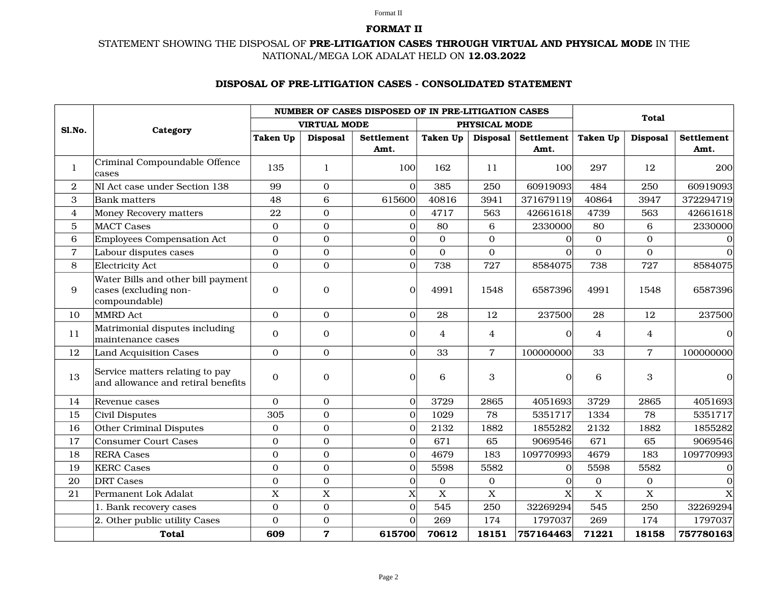#### Format II

### **FORMAT II**

# STATEMENT SHOWING THE DISPOSAL OF **PRELITIGATION CASES THROUGH VIRTUAL AND PHYSICAL MODE** IN THE NATIONAL/MEGA LOK ADALAT HELD ON **12.03.2022**

# **DISPOSAL OF PRELITIGATION CASES CONSOLIDATED STATEMENT**

|                  |                                                                              |                     |                         | NUMBER OF CASES DISPOSED OF IN PRE-LITIGATION CASES |                           |                 |              |                 |                  |              |
|------------------|------------------------------------------------------------------------------|---------------------|-------------------------|-----------------------------------------------------|---------------------------|-----------------|--------------|-----------------|------------------|--------------|
| Sl.No.           | Category                                                                     | <b>VIRTUAL MODE</b> |                         |                                                     |                           | PHYSICAL MODE   |              | <b>Total</b>    |                  |              |
|                  |                                                                              | <b>Taken Up</b>     | <b>Disposal</b>         | <b>Settlement</b>                                   | Taken Up                  | <b>Disposal</b> | Settlement   | <b>Taken Up</b> | <b>Disposal</b>  | Settlement   |
|                  |                                                                              |                     |                         | Amt.                                                |                           |                 | Amt.         |                 |                  | Amt.         |
| $\bf{l}$         | Criminal Compoundable Offence<br>cases                                       | 135                 | 1                       | 100                                                 | 162                       | 11              | 100          | 297             | 12               | 200          |
| $\overline{2}$   | NI Act case under Section 138                                                | 99                  | $\mathbf{0}$            | $\Omega$                                            | 385                       | 250             | 60919093     | 484             | 250              | 60919093     |
| 3                | <b>Bank</b> matters                                                          | 48                  | $\,6\,$                 | 615600                                              | 40816                     | 3941            | 371679119    | 40864           | 3947             | 372294719    |
| $\overline{4}$   | Money Recovery matters                                                       | 22                  | $\overline{0}$          | $\Omega$                                            | 4717                      | 563             | 42661618     | 4739            | 563              | 42661618     |
| 5                | <b>MACT</b> Cases                                                            | $\boldsymbol{0}$    | $\mathbf{0}$            | $\overline{0}$                                      | 80                        | 6               | 2330000      | 80              | 6                | 2330000      |
| $\,6\,$          | <b>Employees Compensation Act</b>                                            | $\mathbf{O}$        | $\mathbf{0}$            | $\Omega$                                            | $\mathbf{0}$              | $\mathbf{O}$    | $\Omega$     | $\mathbf{0}$    | $\overline{0}$   |              |
| $\overline{7}$   | Labour disputes cases                                                        | $\mathbf{O}$        | $\mathbf{0}$            | $\Omega$                                            | $\Omega$                  | $\Omega$        | $\Omega$     | $\Omega$        | $\mathbf{0}$     | $\Omega$     |
| 8                | <b>Electricity Act</b>                                                       | $\mathbf{0}$        | $\mathbf{O}$            | $\Omega$                                            | 738                       | 727             | 8584075      | 738             | 727              | 8584075      |
| $\boldsymbol{9}$ | Water Bills and other bill payment<br>cases (excluding non-<br>compoundable) | $\boldsymbol{0}$    | $\mathbf{0}$            | $\Omega$                                            | 4991                      | 1548            | 6587396      | 4991            | 1548             | 6587396      |
| 10               | <b>MMRD</b> Act                                                              | $\mathbf{O}$        | $\overline{0}$          | $\Omega$                                            | 28                        | 12              | 237500       | 28              | 12               | 237500       |
| 11               | Matrimonial disputes including<br>maintenance cases                          | $\mathbf{0}$        | $\mathbf{0}$            | $\Omega$                                            | 4                         | 4               | $\Omega$     | 4               | $\overline{4}$   | 0            |
| 12               | Land Acquisition Cases                                                       | $\mathbf 0$         | $\mathbf{O}$            | $\Omega$                                            | 33                        | $\overline{7}$  | 100000000    | 33              | $\overline{7}$   | 100000000    |
| 13               | Service matters relating to pay<br>and allowance and retiral benefits        | $\mathbf{0}$        | $\mathbf{0}$            | $\Omega$                                            | 6                         | 3               | $\Omega$     | 6               | 3                | $\Omega$     |
| 14               | Revenue cases                                                                | $\mathbf{O}$        | $\mathbf{0}$            | $\Omega$                                            | 3729                      | 2865            | 4051693      | 3729            | 2865             | 4051693      |
| 15               | Civil Disputes                                                               | 305                 | $\mathbf{O}$            | $\overline{0}$                                      | 1029                      | 78              | 5351717      | 1334            | 78               | 5351717      |
| 16               | Other Criminal Disputes                                                      | $\mathbf{0}$        | $\mathbf{0}$            | $\Omega$                                            | 2132                      | 1882            | 1855282      | 2132            | 1882             | 1855282      |
| 17               | <b>Consumer Court Cases</b>                                                  | $\mathbf{0}$        | $\overline{0}$          | $\Omega$                                            | 671                       | 65              | 9069546      | 671             | 65               | 9069546      |
| 18               | <b>RERA Cases</b>                                                            | $\mathbf 0$         | $\mathbf{0}$            | $\Omega$                                            | 4679                      | 183             | 109770993    | 4679            | 183              | 109770993    |
| 19               | <b>KERC</b> Cases                                                            | $\mathbf{0}$        | $\mathbf{0}$            | $\Omega$                                            | 5598                      | 5582            | $\mathbf{0}$ | 5598            | 5582             | $\mathbf{O}$ |
| 20               | <b>DRT</b> Cases                                                             | $\boldsymbol{0}$    | $\boldsymbol{0}$        | $\Omega$                                            | $\mathbf 0$               | $\mathbf 0$     | $\mathbf{0}$ | $\mathbf{0}$    | $\boldsymbol{0}$ | $\mathbf 0$  |
| 21               | Permanent Lok Adalat                                                         | $\overline{X}$      | X                       | X                                                   | $\boldsymbol{\mathrm{X}}$ | $\mathbf X$     | X            | $\mathbf X$     | $\mathbf X$      | X            |
|                  | 1. Bank recovery cases                                                       | $\mathbf{0}$        | $\mathbf{0}$            | $\Omega$                                            | 545                       | 250             | 32269294     | 545             | 250              | 32269294     |
|                  | 2. Other public utility Cases                                                | $\mathbf{O}$        | $\mathbf 0$             | $\Omega$                                            | 269                       | 174             | 1797037      | 269             | 174              | 1797037      |
|                  | <b>Total</b>                                                                 | 609                 | $\overline{\mathbf{z}}$ | 615700                                              | 70612                     | 18151           | 757164463    | 71221           | 18158            | 757780163    |